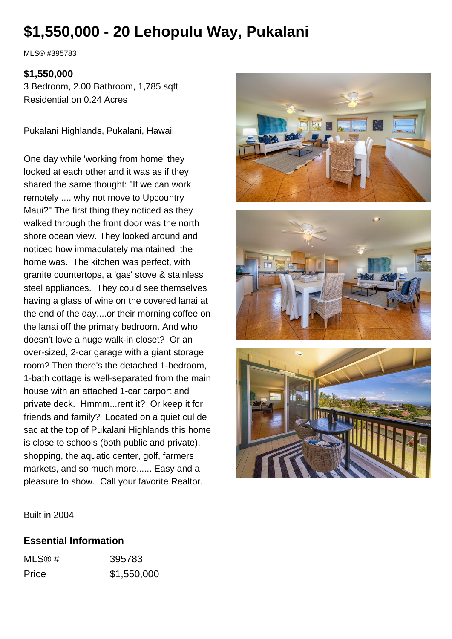# **\$1,550,000 - 20 Lehopulu Way, Pukalani**

MLS® #395783

#### **\$1,550,000**

3 Bedroom, 2.00 Bathroom, 1,785 sqft Residential on 0.24 Acres

Pukalani Highlands, Pukalani, Hawaii

One day while 'working from home' they looked at each other and it was as if they shared the same thought: "If we can work remotely .... why not move to Upcountry Maui?" The first thing they noticed as they walked through the front door was the north shore ocean view. They looked around and noticed how immaculately maintained the home was. The kitchen was perfect, with granite countertops, a 'gas' stove & stainless steel appliances. They could see themselves having a glass of wine on the covered lanai at the end of the day....or their morning coffee on the lanai off the primary bedroom. And who doesn't love a huge walk-in closet? Or an over-sized, 2-car garage with a giant storage room? Then there's the detached 1-bedroom, 1-bath cottage is well-separated from the main house with an attached 1-car carport and private deck. Hmmm...rent it? Or keep it for friends and family? Located on a quiet cul de sac at the top of Pukalani Highlands this home is close to schools (both public and private), shopping, the aquatic center, golf, farmers markets, and so much more...... Easy and a pleasure to show. Call your favorite Realtor.







Built in 2004

#### **Essential Information**

| MLS@# | 395783      |
|-------|-------------|
| Price | \$1,550,000 |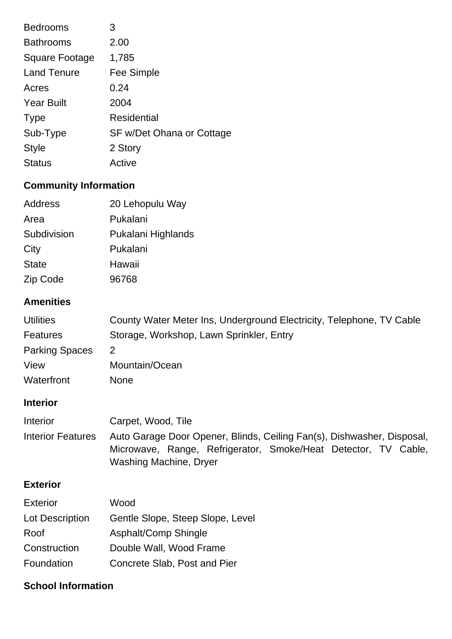| <b>Bedrooms</b>       | 3                         |
|-----------------------|---------------------------|
| <b>Bathrooms</b>      | 2.00                      |
| <b>Square Footage</b> | 1,785                     |
| <b>Land Tenure</b>    | Fee Simple                |
| Acres                 | 0.24                      |
| <b>Year Built</b>     | 2004                      |
| <b>Type</b>           | Residential               |
| Sub-Type              | SF w/Det Ohana or Cottage |
| <b>Style</b>          | 2 Story                   |
| <b>Status</b>         | Active                    |

# **Community Information**

| Address      | 20 Lehopulu Way    |
|--------------|--------------------|
| Area         | Pukalani           |
| Subdivision  | Pukalani Highlands |
| City         | Pukalani           |
| <b>State</b> | Hawaii             |
| Zip Code     | 96768              |

## **Amenities**

| <b>Utilities</b>      | County Water Meter Ins, Underground Electricity, Telephone, TV Cable |
|-----------------------|----------------------------------------------------------------------|
| <b>Features</b>       | Storage, Workshop, Lawn Sprinkler, Entry                             |
| <b>Parking Spaces</b> | 2                                                                    |
| View                  | Mountain/Ocean                                                       |
| Waterfront            | <b>None</b>                                                          |

# **Interior**

| Interior          | Carpet, Wood, Tile                                                     |  |  |
|-------------------|------------------------------------------------------------------------|--|--|
| Interior Features | Auto Garage Door Opener, Blinds, Ceiling Fan(s), Dishwasher, Disposal, |  |  |
|                   | Microwave, Range, Refrigerator, Smoke/Heat Detector, TV Cable,         |  |  |
|                   | Washing Machine, Dryer                                                 |  |  |

### **Exterior**

| <b>Exterior</b> | Wood                             |
|-----------------|----------------------------------|
| Lot Description | Gentle Slope, Steep Slope, Level |
| Roof            | Asphalt/Comp Shingle             |
| Construction    | Double Wall, Wood Frame          |
| Foundation      | Concrete Slab, Post and Pier     |

## **School Information**